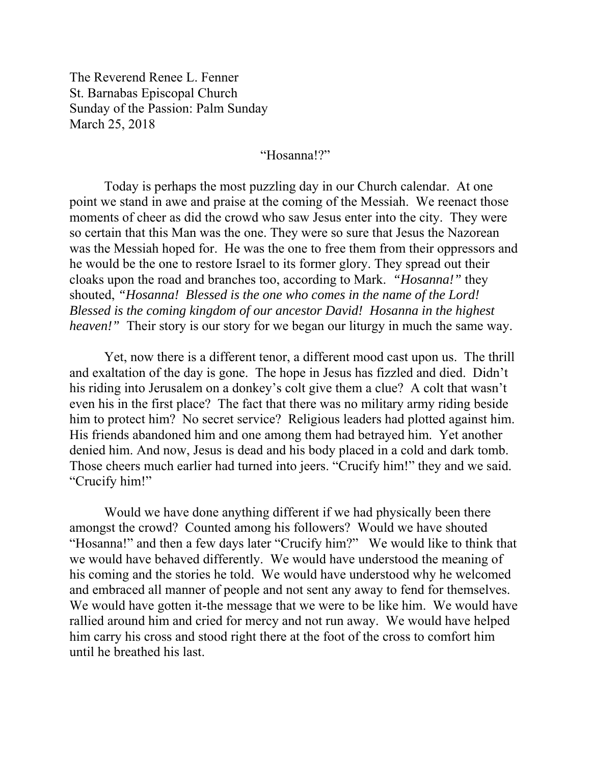The Reverend Renee L. Fenner St. Barnabas Episcopal Church Sunday of the Passion: Palm Sunday March 25, 2018

"Hosanna!?"

 Today is perhaps the most puzzling day in our Church calendar. At one point we stand in awe and praise at the coming of the Messiah. We reenact those moments of cheer as did the crowd who saw Jesus enter into the city. They were so certain that this Man was the one. They were so sure that Jesus the Nazorean was the Messiah hoped for. He was the one to free them from their oppressors and he would be the one to restore Israel to its former glory. They spread out their cloaks upon the road and branches too, according to Mark. *"Hosanna!"* they shouted, *"Hosanna! Blessed is the one who comes in the name of the Lord! Blessed is the coming kingdom of our ancestor David! Hosanna in the highest heaven!*" Their story is our story for we began our liturgy in much the same way.

Yet, now there is a different tenor, a different mood cast upon us. The thrill and exaltation of the day is gone. The hope in Jesus has fizzled and died. Didn't his riding into Jerusalem on a donkey's colt give them a clue? A colt that wasn't even his in the first place? The fact that there was no military army riding beside him to protect him? No secret service? Religious leaders had plotted against him. His friends abandoned him and one among them had betrayed him. Yet another denied him. And now, Jesus is dead and his body placed in a cold and dark tomb. Those cheers much earlier had turned into jeers. "Crucify him!" they and we said. "Crucify him!"

Would we have done anything different if we had physically been there amongst the crowd? Counted among his followers? Would we have shouted "Hosanna!" and then a few days later "Crucify him?" We would like to think that we would have behaved differently. We would have understood the meaning of his coming and the stories he told. We would have understood why he welcomed and embraced all manner of people and not sent any away to fend for themselves. We would have gotten it-the message that we were to be like him. We would have rallied around him and cried for mercy and not run away. We would have helped him carry his cross and stood right there at the foot of the cross to comfort him until he breathed his last.